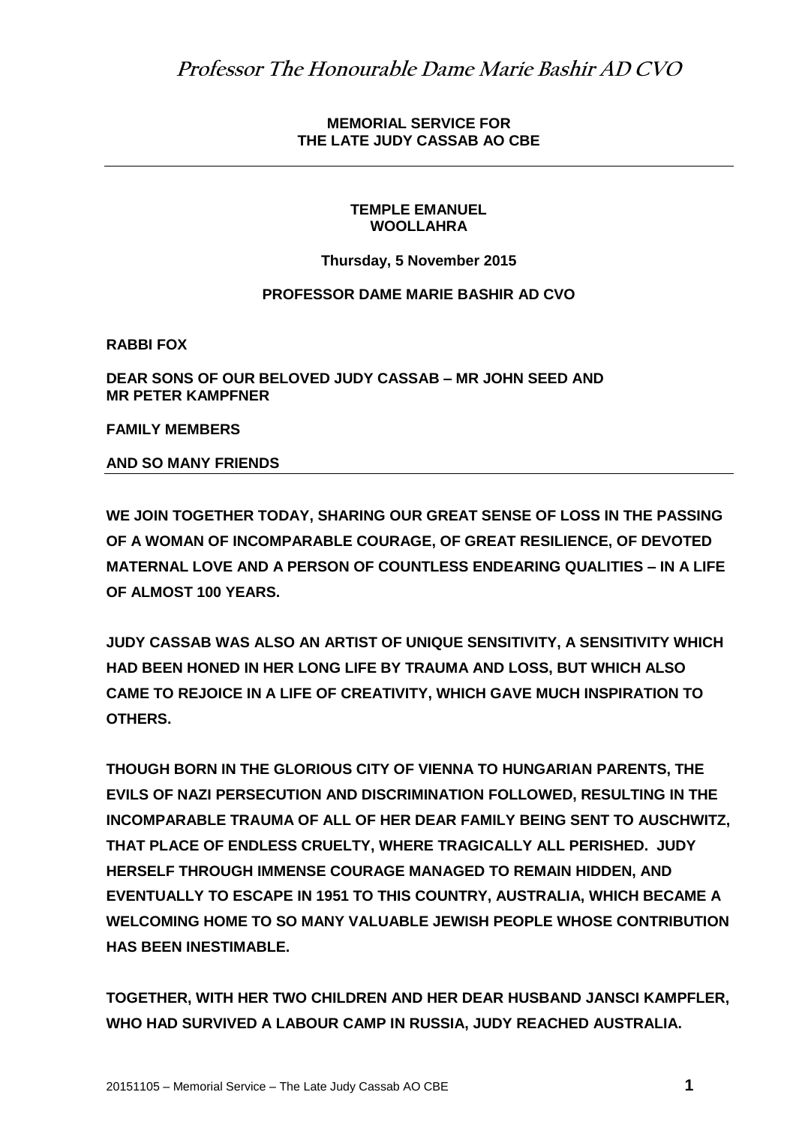**MEMORIAL SERVICE FOR THE LATE JUDY CASSAB AO CBE**

## **TEMPLE EMANUEL WOOLLAHRA**

**Thursday, 5 November 2015**

## **PROFESSOR DAME MARIE BASHIR AD CVO**

**RABBI FOX**

**DEAR SONS OF OUR BELOVED JUDY CASSAB – MR JOHN SEED AND MR PETER KAMPFNER**

**FAMILY MEMBERS**

## **AND SO MANY FRIENDS**

**WE JOIN TOGETHER TODAY, SHARING OUR GREAT SENSE OF LOSS IN THE PASSING OF A WOMAN OF INCOMPARABLE COURAGE, OF GREAT RESILIENCE, OF DEVOTED MATERNAL LOVE AND A PERSON OF COUNTLESS ENDEARING QUALITIES – IN A LIFE OF ALMOST 100 YEARS.**

**JUDY CASSAB WAS ALSO AN ARTIST OF UNIQUE SENSITIVITY, A SENSITIVITY WHICH HAD BEEN HONED IN HER LONG LIFE BY TRAUMA AND LOSS, BUT WHICH ALSO CAME TO REJOICE IN A LIFE OF CREATIVITY, WHICH GAVE MUCH INSPIRATION TO OTHERS.**

**THOUGH BORN IN THE GLORIOUS CITY OF VIENNA TO HUNGARIAN PARENTS, THE EVILS OF NAZI PERSECUTION AND DISCRIMINATION FOLLOWED, RESULTING IN THE INCOMPARABLE TRAUMA OF ALL OF HER DEAR FAMILY BEING SENT TO AUSCHWITZ, THAT PLACE OF ENDLESS CRUELTY, WHERE TRAGICALLY ALL PERISHED. JUDY HERSELF THROUGH IMMENSE COURAGE MANAGED TO REMAIN HIDDEN, AND EVENTUALLY TO ESCAPE IN 1951 TO THIS COUNTRY, AUSTRALIA, WHICH BECAME A WELCOMING HOME TO SO MANY VALUABLE JEWISH PEOPLE WHOSE CONTRIBUTION HAS BEEN INESTIMABLE.**

**TOGETHER, WITH HER TWO CHILDREN AND HER DEAR HUSBAND JANSCI KAMPFLER, WHO HAD SURVIVED A LABOUR CAMP IN RUSSIA, JUDY REACHED AUSTRALIA.**